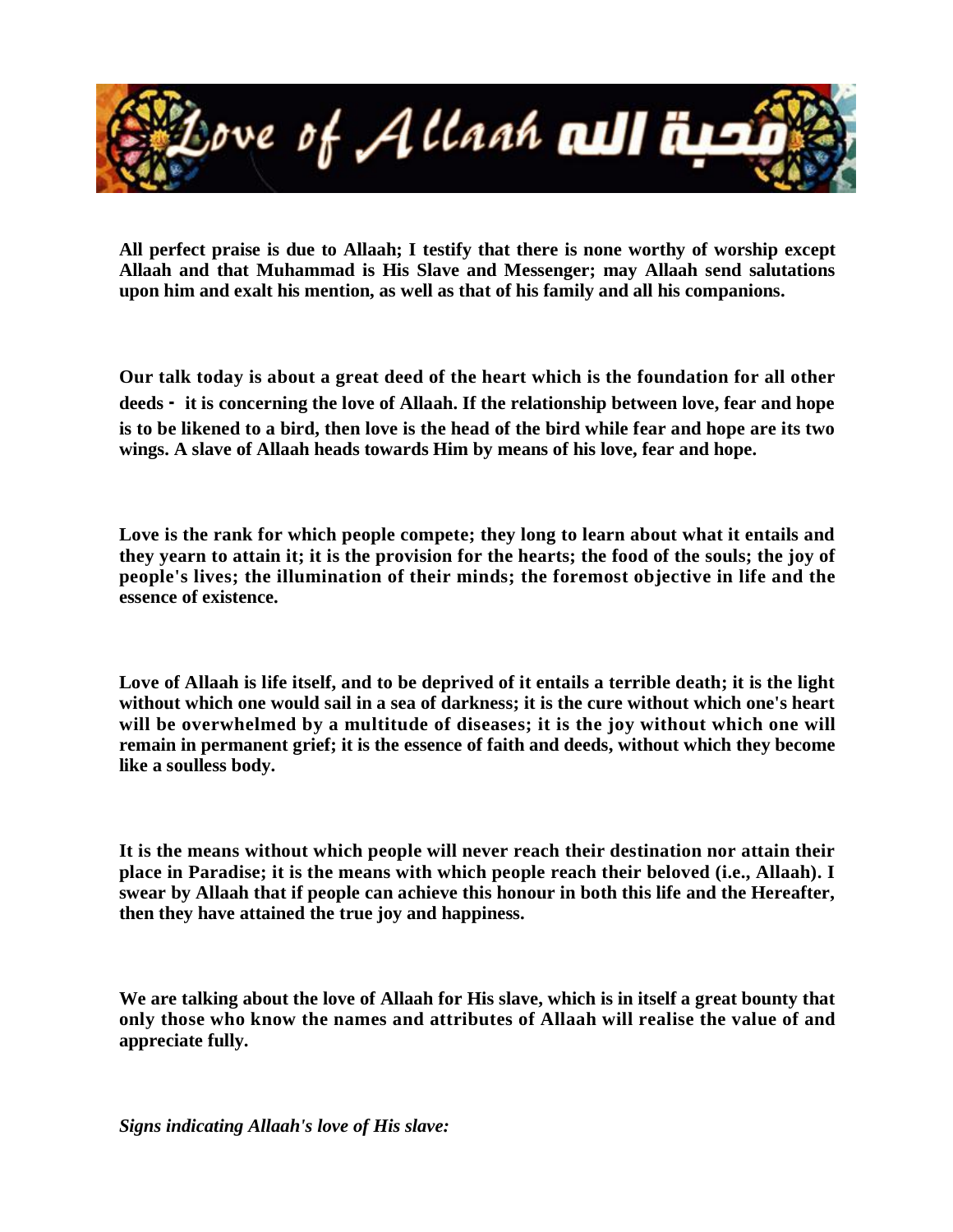

**All perfect praise is due to Allaah; I testify that there is none worthy of worship except Allaah and that Muhammad is His Slave and Messenger; may Allaah send salutations upon him and exalt his mention, as well as that of his family and all his companions.** 

**Our talk today is about a great deed of the heart which is the foundation for all other deeds - it is concerning the love of Allaah. If the relationship between love, fear and hope is to be likened to a bird, then love is the head of the bird while fear and hope are its two wings. A slave of Allaah heads towards Him by means of his love, fear and hope.**

**Love is the rank for which people compete; they long to learn about what it entails and they yearn to attain it; it is the provision for the hearts; the food of the souls; the joy of people's lives; the illumination of their minds; the foremost objective in life and the essence of existence.**

**Love of Allaah is life itself, and to be deprived of it entails a terrible death; it is the light without which one would sail in a sea of darkness; it is the cure without which one's heart will be overwhelmed by a multitude of diseases; it is the joy without which one will remain in permanent grief; it is the essence of faith and deeds, without which they become like a soulless body.**

**It is the means without which people will never reach their destination nor attain their place in Paradise; it is the means with which people reach their beloved (i.e., Allaah). I swear by Allaah that if people can achieve this honour in both this life and the Hereafter, then they have attained the true joy and happiness.**

**We are talking about the love of Allaah for His slave, which is in itself a great bounty that only those who know the names and attributes of Allaah will realise the value of and appreciate fully.**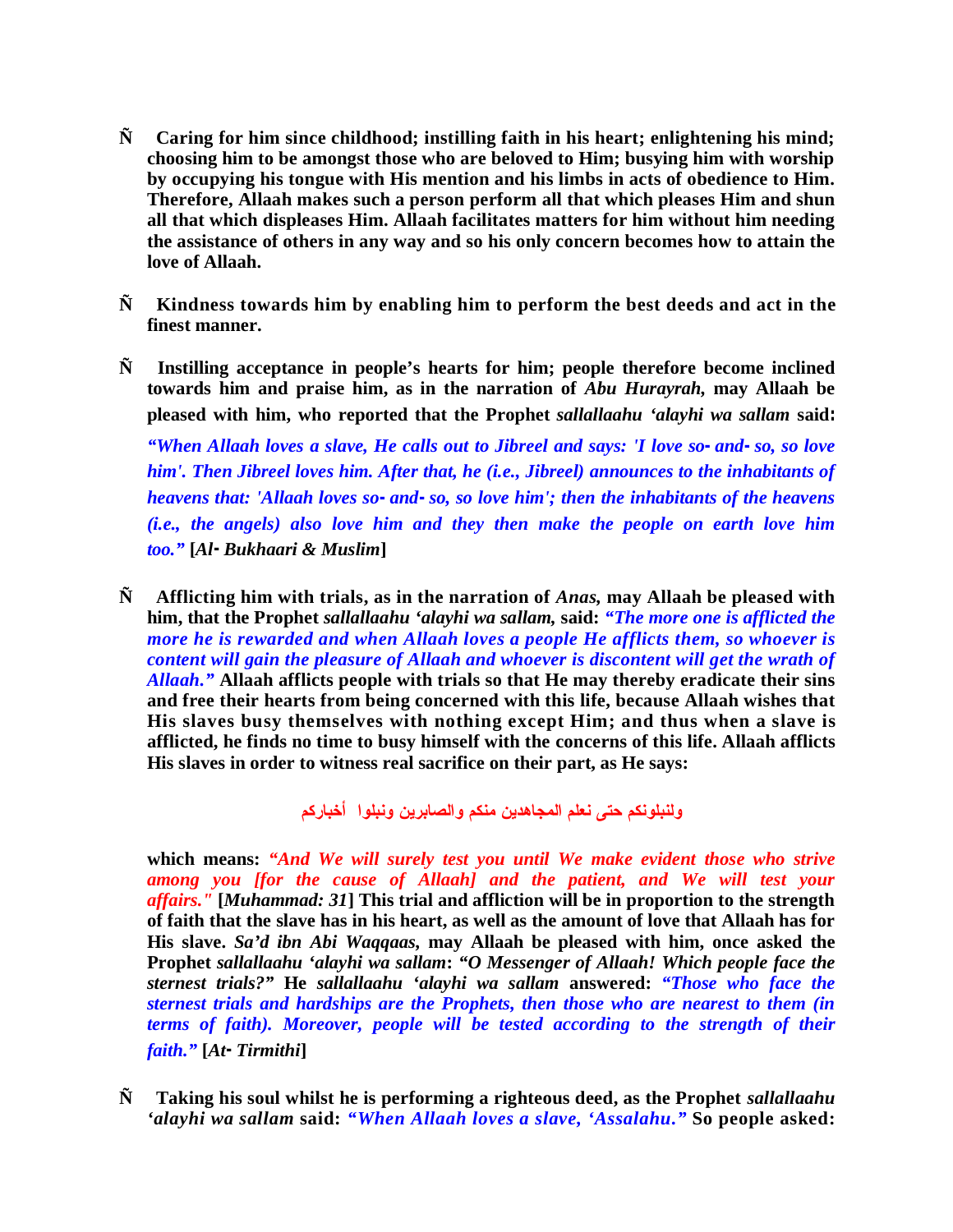- **Ñ Caring for him since childhood; instilling faith in his heart; enlightening his mind; choosing him to be amongst those who are beloved to Him; busying him with worship by occupying his tongue with His mention and his limbs in acts of obedience to Him. Therefore, Allaah makes such a person perform all that which pleases Him and shun all that which displeases Him. Allaah facilitates matters for him without him needing the assistance of others in any way and so his only concern becomes how to attain the love of Allaah.**
- **Ñ Kindness towards him by enabling him to perform the best deeds and act in the finest manner.**
- **Ñ Instilling acceptance in people's hearts for him; people therefore become inclined towards him and praise him, as in the narration of** *Abu Hurayrah,* **may Allaah be pleased with him, who reported that the Prophet** *sallallaahu 'alayhi wa sallam* **said:**

*"When Allaah loves a slave, He calls out to Jibreel and says: 'I love so-and-so, so love him'. Then Jibreel loves him. After that, he (i.e., Jibreel) announces to the inhabitants of heavens that: 'Allaah loves so-and-so, so love him'; then the inhabitants of the heavens (i.e., the angels) also love him and they then make the people on earth love him too."* **[***Al-Bukhaari & Muslim***]** 

**Ñ Afflicting him with trials, as in the narration of** *Anas,* **may Allaah be pleased with him, that the Prophet** *sallallaahu 'alayhi wa sallam,* **said:** *"The more one is afflicted the more he is rewarded and when Allaah loves a people He afflicts them, so whoever is content will gain the pleasure of Allaah and whoever is discontent will get the wrath of Allaah."* **Allaah afflicts people with trials so that He may thereby eradicate their sins and free their hearts from being concerned with this life, because Allaah wishes that His slaves busy themselves with nothing except Him; and thus when a slave is afflicted, he finds no time to busy himself with the concerns of this life. Allaah afflicts His slaves in order to witness real sacrifice on their part, as He says:** 

**ولنبلونكم حتى نعلم المجاهدين منكم والصابرين ونبلوا أخباركم**

**which means:** *"And We will surely test you until We make evident those who strive among you [for the cause of Allaah] and the patient, and We will test your affairs."* **[***Muhammad: 31***] This trial and affliction will be in proportion to the strength of faith that the slave has in his heart, as well as the amount of love that Allaah has for His slave.** *Sa'd ibn Abi Waqqaas,* **may Allaah be pleased with him, once asked the Prophet** *sallallaahu 'alayhi wa sallam***:** *"O Messenger of Allaah! Which people face the sternest trials?"* **He** *sallallaahu 'alayhi wa sallam* **answered:** *"Those who face the sternest trials and hardships are the Prophets, then those who are nearest to them (in terms of faith). Moreover, people will be tested according to the strength of their faith."* **[***At-Tirmithi***]**

**Ñ Taking his soul whilst he is performing a righteous deed, as the Prophet** *sallallaahu 'alayhi wa sallam* **said:** *"When Allaah loves a slave, 'Assalahu."* **So people asked:**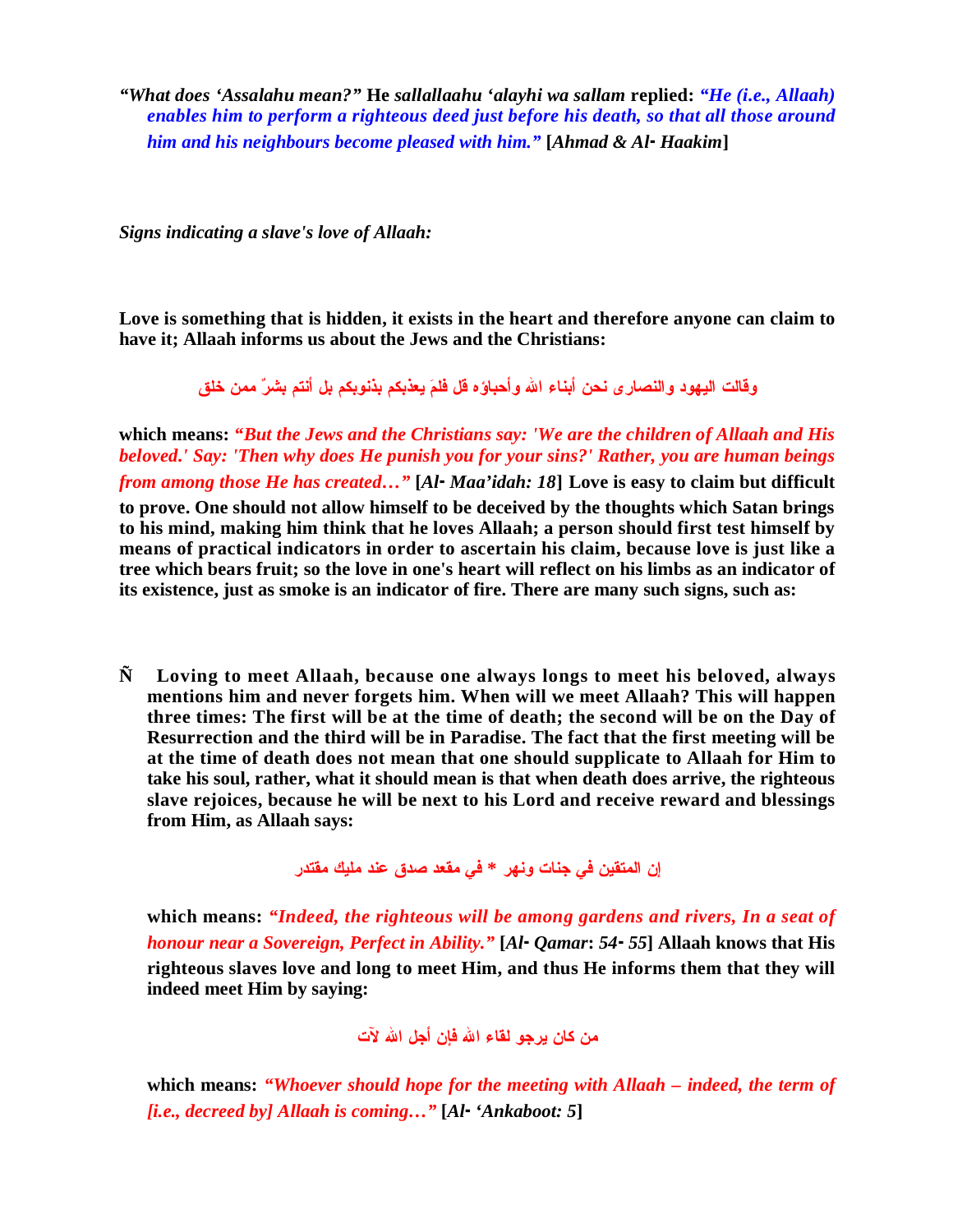*"What does 'Assalahu mean?"* **He** *sallallaahu 'alayhi wa sallam* **replied:** *"He (i.e., Allaah) enables him to perform a righteous deed just before his death, so that all those around him and his neighbours become pleased with him."* **[***Ahmad & Al-Haakim***]**

*Signs indicating a slave's love of Allaah:* 

**Love is something that is hidden, it exists in the heart and therefore anyone can claim to have it; Allaah informs us about the Jews and the Christians:** 

**وقالت اليهود والنصارى نحن أبناء االله وأحباؤه قل فلم يعذبكم بذنوبكم بل أنتم بشر ممن خلق**

**which means:** *"But the Jews and the Christians say: 'We are the children of Allaah and His beloved.' Say: 'Then why does He punish you for your sins?' Rather, you are human beings from among those He has created…"* **[***Al-Maa'idah: 18***] Love is easy to claim but difficult to prove. One should not allow himself to be deceived by the thoughts which Satan brings to his mind, making him think that he loves Allaah; a person should first test himself by means of practical indicators in order to ascertain his claim, because love is just like a tree which bears fruit; so the love in one's heart will reflect on his limbs as an indicator of its existence, just as smoke is an indicator of fire. There are many such signs, such as:**

**Ñ Loving to meet Allaah, because one always longs to meet his beloved, always mentions him and never forgets him. When will we meet Allaah? This will happen three times: The first will be at the time of death; the second will be on the Day of Resurrection and the third will be in Paradise. The fact that the first meeting will be at the time of death does not mean that one should supplicate to Allaah for Him to take his soul, rather, what it should mean is that when death does arrive, the righteous slave rejoices, because he will be next to his Lord and receive reward and blessings from Him, as Allaah says:** 

**إن المتقين في جنات ونهر \* في مقعد صدق عند مليك مقتدر**

**which means:** *"Indeed, the righteous will be among gardens and rivers, In a seat of honour near a Sovereign, Perfect in Ability."* **[***Al-Qamar***:** *54-55***] Allaah knows that His righteous slaves love and long to meet Him, and thus He informs them that they will indeed meet Him by saying:**

**من كان يرجو لقاء االله فإن أجل االله لآت**

**which means:** *"Whoever should hope for the meeting with Allaah – indeed, the term of [i.e., decreed by] Allaah is coming…"* **[***Al-'Ankaboot: 5***]**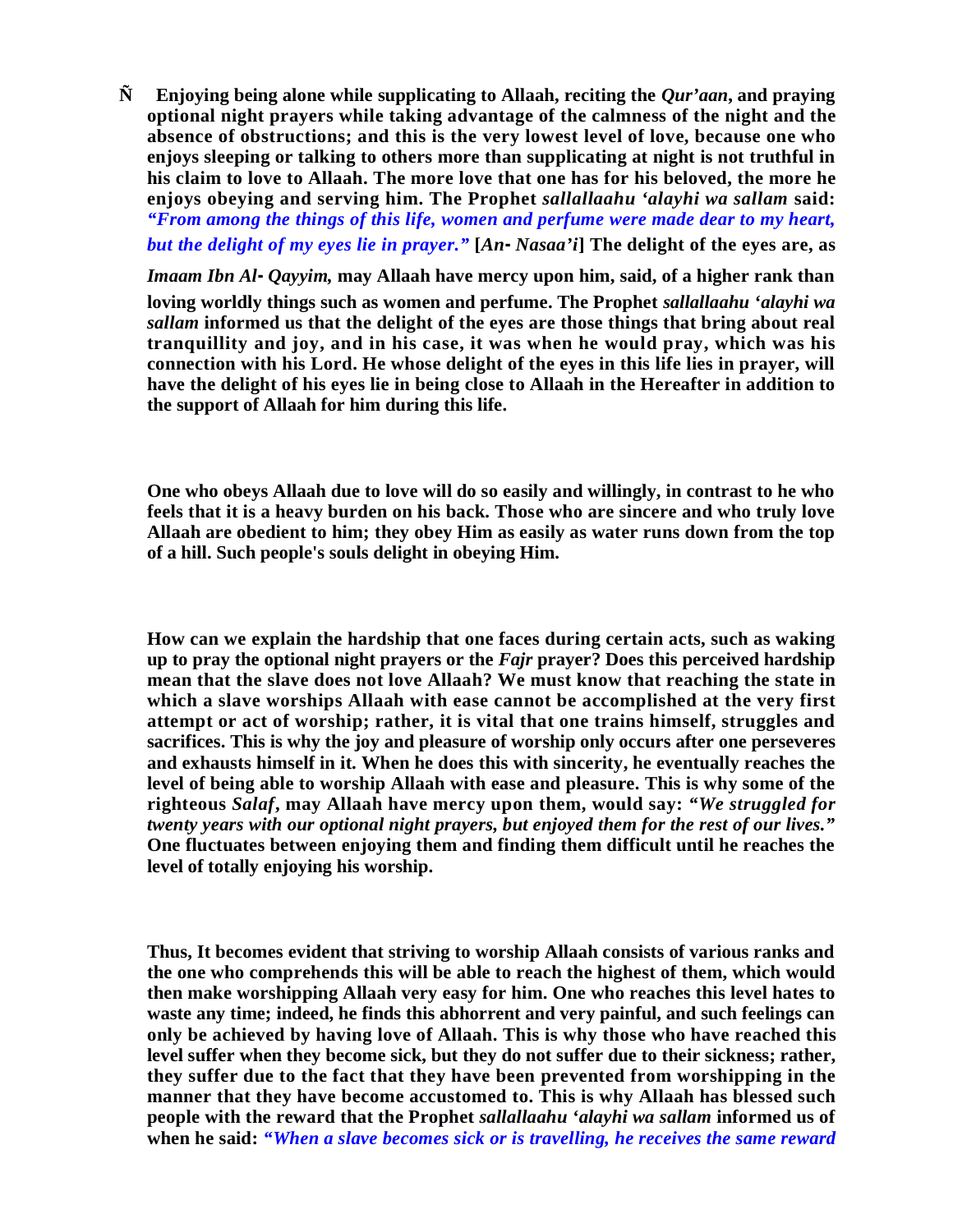**Ñ Enjoying being alone while supplicating to Allaah, reciting the** *Qur'aan***, and praying optional night prayers while taking advantage of the calmness of the night and the absence of obstructions; and this is the very lowest level of love, because one who enjoys sleeping or talking to others more than supplicating at night is not truthful in his claim to love to Allaah. The more love that one has for his beloved, the more he enjoys obeying and serving him. The Prophet** *sallallaahu 'alayhi wa sallam* **said:** *"From among the things of this life, women and perfume were made dear to my heart,* 

but the delight of my eyes lie in prayer." [An-Nasaa'i] The delight of the eyes are, as

*Imaam Ibn Al-Qayyim,* **may Allaah have mercy upon him, said, of a higher rank than loving worldly things such as women and perfume. The Prophet** *sallallaahu 'alayhi wa sallam* **informed us that the delight of the eyes are those things that bring about real tranquillity and joy, and in his case, it was when he would pray, which was his connection with his Lord. He whose delight of the eyes in this life lies in prayer, will have the delight of his eyes lie in being close to Allaah in the Hereafter in addition to the support of Allaah for him during this life.** 

**One who obeys Allaah due to love will do so easily and willingly, in contrast to he who feels that it is a heavy burden on his back. Those who are sincere and who truly love Allaah are obedient to him; they obey Him as easily as water runs down from the top of a hill. Such people's souls delight in obeying Him.** 

**How can we explain the hardship that one faces during certain acts, such as waking up to pray the optional night prayers or the** *Fajr* **prayer? Does this perceived hardship mean that the slave does not love Allaah? We must know that reaching the state in which a slave worships Allaah with ease cannot be accomplished at the very first attempt or act of worship; rather, it is vital that one trains himself, struggles and sacrifices. This is why the joy and pleasure of worship only occurs after one perseveres and exhausts himself in it. When he does this with sincerity, he eventually reaches the level of being able to worship Allaah with ease and pleasure. This is why some of the righteous** *Salaf***, may Allaah have mercy upon them, would say:** *"We struggled for twenty years with our optional night prayers, but enjoyed them for the rest of our lives."* **One fluctuates between enjoying them and finding them difficult until he reaches the level of totally enjoying his worship.**

**Thus, It becomes evident that striving to worship Allaah consists of various ranks and the one who comprehends this will be able to reach the highest of them, which would then make worshipping Allaah very easy for him. One who reaches this level hates to waste any time; indeed, he finds this abhorrent and very painful, and such feelings can only be achieved by having love of Allaah. This is why those who have reached this level suffer when they become sick, but they do not suffer due to their sickness; rather, they suffer due to the fact that they have been prevented from worshipping in the manner that they have become accustomed to. This is why Allaah has blessed such people with the reward that the Prophet** *sallallaahu 'alayhi wa sallam* **informed us of when he said:** *"When a slave becomes sick or is travelling, he receives the same reward*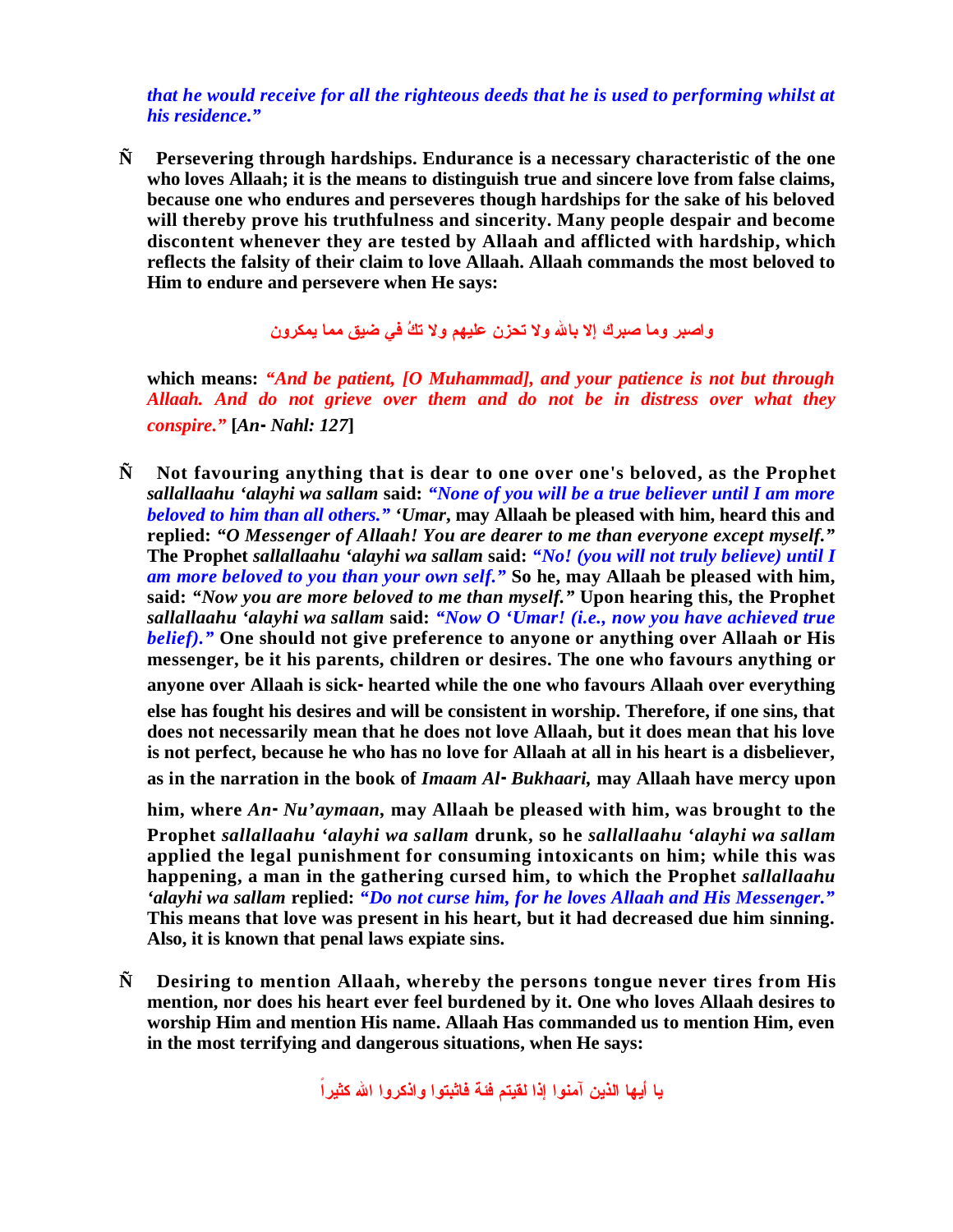*that he would receive for all the righteous deeds that he is used to performing whilst at his residence."*

**Ñ Persevering through hardships. Endurance is a necessary characteristic of the one who loves Allaah; it is the means to distinguish true and sincere love from false claims, because one who endures and perseveres though hardships for the sake of his beloved will thereby prove his truthfulness and sincerity. Many people despair and become discontent whenever they are tested by Allaah and afflicted with hardship, which reflects the falsity of their claim to love Allaah. Allaah commands the most beloved to Him to endure and persevere when He says:**

**واصبر وما صبرك إلا باالله ولا تحزن عليهم ولا تك في ضيق مما يمكرون**

**which means:** *"And be patient, [O Muhammad], and your patience is not but through Allaah. And do not grieve over them and do not be in distress over what they conspire."* **[***An-Nahl: 127***]**

**Ñ Not favouring anything that is dear to one over one's beloved, as the Prophet**  *sallallaahu 'alayhi wa sallam* **said:** *"None of you will be a true believer until I am more beloved to him than all others." 'Umar***, may Allaah be pleased with him, heard this and replied:** *"O Messenger of Allaah! You are dearer to me than everyone except myself."*  **The Prophet** *sallallaahu 'alayhi wa sallam* **said:** *"No! (you will not truly believe) until I am more beloved to you than your own self."* **So he, may Allaah be pleased with him, said:** *"Now you are more beloved to me than myself."* **Upon hearing this, the Prophet**  *sallallaahu 'alayhi wa sallam* **said:** *"Now O 'Umar! (i.e., now you have achieved true belief)."* **One should not give preference to anyone or anything over Allaah or His messenger, be it his parents, children or desires. The one who favours anything or anyone over Allaah is sick-hearted while the one who favours Allaah over everything else has fought his desires and will be consistent in worship. Therefore, if one sins, that does not necessarily mean that he does not love Allaah, but it does mean that his love is not perfect, because he who has no love for Allaah at all in his heart is a disbeliever, as in the narration in the book of** *Imaam Al-Bukhaari,* **may Allaah have mercy upon** 

**him, where** *An-Nu'aymaan,* **may Allaah be pleased with him, was brought to the Prophet** *sallallaahu 'alayhi wa sallam* **drunk, so he** *sallallaahu 'alayhi wa sallam* **applied the legal punishment for consuming intoxicants on him; while this was happening, a man in the gathering cursed him, to which the Prophet** *sallallaahu 'alayhi wa sallam* **replied:** *"Do not curse him, for he loves Allaah and His Messenger."* **This means that love was present in his heart, but it had decreased due him sinning. Also, it is known that penal laws expiate sins.**

**Ñ Desiring to mention Allaah, whereby the persons tongue never tires from His mention, nor does his heart ever feel burdened by it. One who loves Allaah desires to worship Him and mention His name. Allaah Has commanded us to mention Him, even in the most terrifying and dangerous situations, when He says:** 

**يا أيها الذين آمنوا إذا لقيتم فئة فاثبتوا واذكروا االله كثيراً**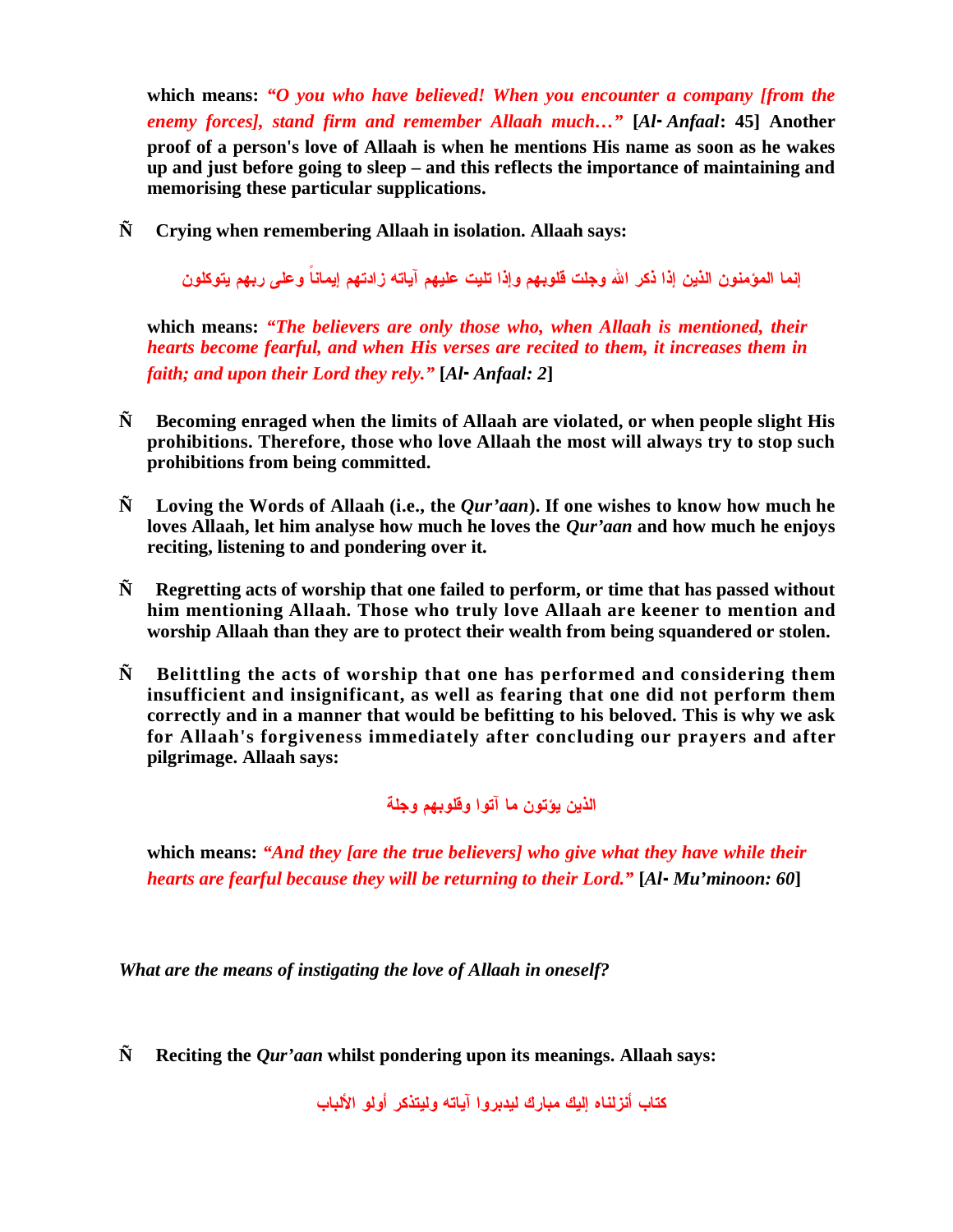**which means:** *"O you who have believed! When you encounter a company [from the enemy forces], stand firm and remember Allaah much…"* **[***Al-Anfaal***: 45] Another proof of a person's love of Allaah is when he mentions His name as soon as he wakes up and just before going to sleep – and this reflects the importance of maintaining and memorising these particular supplications.**

**Ñ Crying when remembering Allaah in isolation. Allaah says:** 

**إنما المؤمنون الذين إذا ذكر االله وجلت قلوبهم وإذا تليت عليهم آياته زادتهم إيماناً وعلى ربهم يتوكلون**

**which means:** *"The believers are only those who, when Allaah is mentioned, their hearts become fearful, and when His verses are recited to them, it increases them in faith; and upon their Lord they rely."* **[***Al-Anfaal: 2***]**

- **Ñ Becoming enraged when the limits of Allaah are violated, or when people slight His prohibitions. Therefore, those who love Allaah the most will always try to stop such prohibitions from being committed.**
- **Ñ Loving the Words of Allaah (i.e., the** *Qur'aan***). If one wishes to know how much he loves Allaah, let him analyse how much he loves the** *Qur'aan* **and how much he enjoys reciting, listening to and pondering over it.**
- **Ñ Regretting acts of worship that one failed to perform, or time that has passed without him mentioning Allaah. Those who truly love Allaah are keener to mention and worship Allaah than they are to protect their wealth from being squandered or stolen.**
- **Ñ Belittling the acts of worship that one has performed and considering them insufficient and insignificant, as well as fearing that one did not perform them correctly and in a manner that would be befitting to his beloved. This is why we ask for Allaah's forgiveness immediately after concluding our prayers and after pilgrimage. Allaah says:**

## **الذين يؤتون ما آتوا وقلوبهم وجلة**

**which means:** *"And they [are the true believers] who give what they have while their hearts are fearful because they will be returning to their Lord."* **[***Al-Mu'minoon: 60***]**

*What are the means of instigating the love of Allaah in oneself?*

**Ñ Reciting the** *Qur'aan* **whilst pondering upon its meanings. Allaah says:**

**كتاب أنزلناه إليك مبارك ليدبروا آياته وليتذكر أولو الألباب**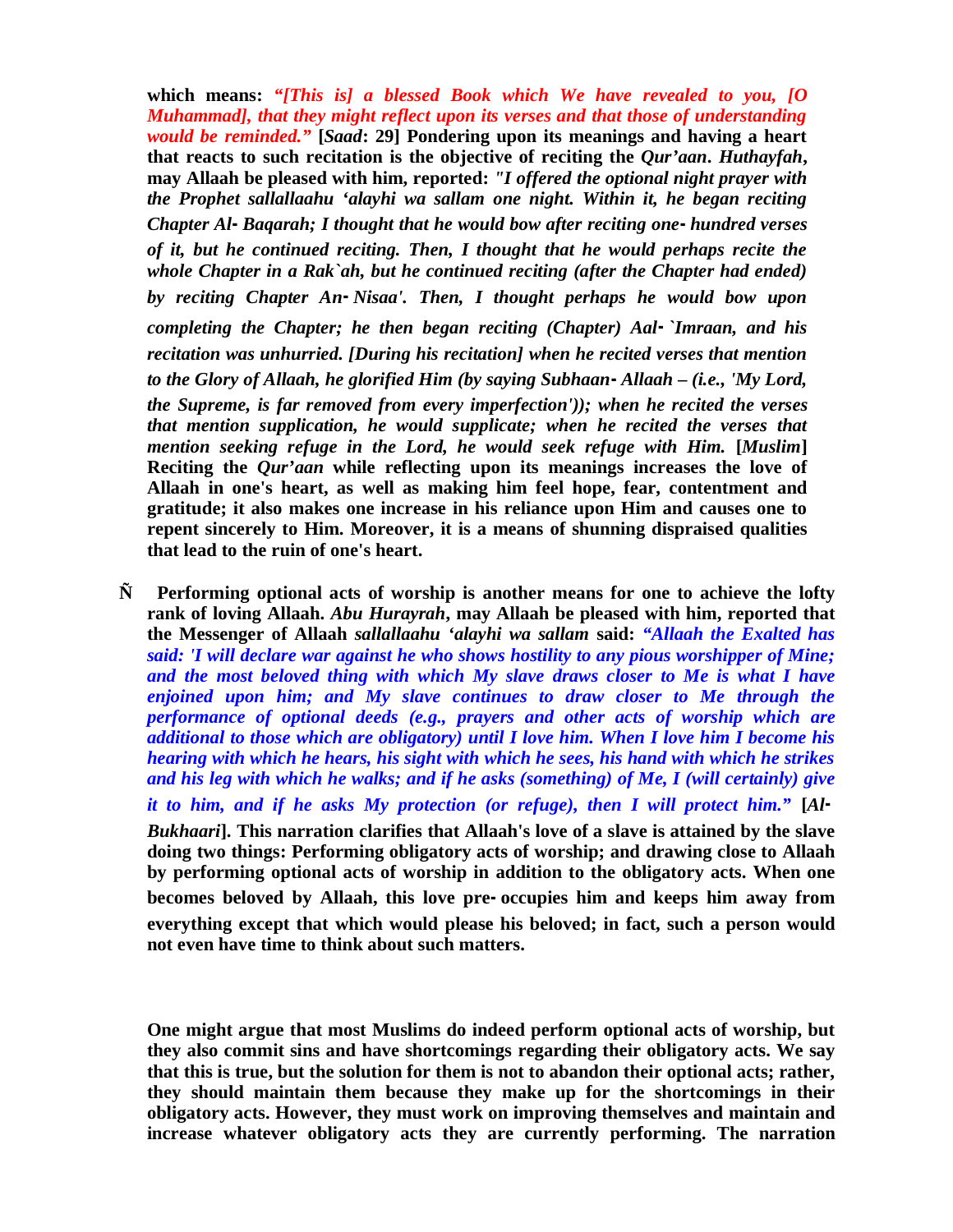**which means:** *"[This is] a blessed Book which We have revealed to you, [O Muhammad], that they might reflect upon its verses and that those of understanding would be reminded."* **[***Saad***: 29] Pondering upon its meanings and having a heart that reacts to such recitation is the objective of reciting the** *Qur'aan***.** *Huthayfah***, may Allaah be pleased with him, reported:** *"I offered the optional night prayer with the Prophet sallallaahu 'alayhi wa sallam one night. Within it, he began reciting Chapter Al-Baqarah; I thought that he would bow after reciting one-hundred verses of it, but he continued reciting. Then, I thought that he would perhaps recite the whole Chapter in a Rak`ah, but he continued reciting (after the Chapter had ended) by reciting Chapter An-Nisaa'. Then, I thought perhaps he would bow upon completing the Chapter; he then began reciting (Chapter) Aal-`Imraan, and his recitation was unhurried. [During his recitation] when he recited verses that mention to the Glory of Allaah, he glorified Him (by saying Subhaan-Allaah – (i.e., 'My Lord, the Supreme, is far removed from every imperfection')); when he recited the verses that mention supplication, he would supplicate; when he recited the verses that mention seeking refuge in the Lord, he would seek refuge with Him.* **[***Muslim***] Reciting the** *Qur'aan* **while reflecting upon its meanings increases the love of Allaah in one's heart, as well as making him feel hope, fear, contentment and gratitude; it also makes one increase in his reliance upon Him and causes one to repent sincerely to Him. Moreover, it is a means of shunning dispraised qualities that lead to the ruin of one's heart.**

**Ñ Performing optional acts of worship is another means for one to achieve the lofty rank of loving Allaah.** *Abu Hurayrah***, may Allaah be pleased with him, reported that the Messenger of Allaah** *sallallaahu 'alayhi wa sallam* **said:** *"Allaah the Exalted has said: 'I will declare war against he who shows hostility to any pious worshipper of Mine; and the most beloved thing with which My slave draws closer to Me is what I have enjoined upon him; and My slave continues to draw closer to Me through the performance of optional deeds (e.g., prayers and other acts of worship which are additional to those which are obligatory) until I love him. When I love him I become his hearing with which he hears, his sight with which he sees, his hand with which he strikes and his leg with which he walks; and if he asks (something) of Me, I (will certainly) give it to him, and if he asks My protection (or refuge), then I will protect him."* **[***Al-Bukhaari***]. This narration clarifies that Allaah's love of a slave is attained by the slave doing two things: Performing obligatory acts of worship; and drawing close to Allaah by performing optional acts of worship in addition to the obligatory acts. When one becomes beloved by Allaah, this love pre-occupies him and keeps him away from everything except that which would please his beloved; in fact, such a person would not even have time to think about such matters.** 

**One might argue that most Muslims do indeed perform optional acts of worship, but they also commit sins and have shortcomings regarding their obligatory acts. We say that this is true, but the solution for them is not to abandon their optional acts; rather, they should maintain them because they make up for the shortcomings in their obligatory acts. However, they must work on improving themselves and maintain and increase whatever obligatory acts they are currently performing. The narration**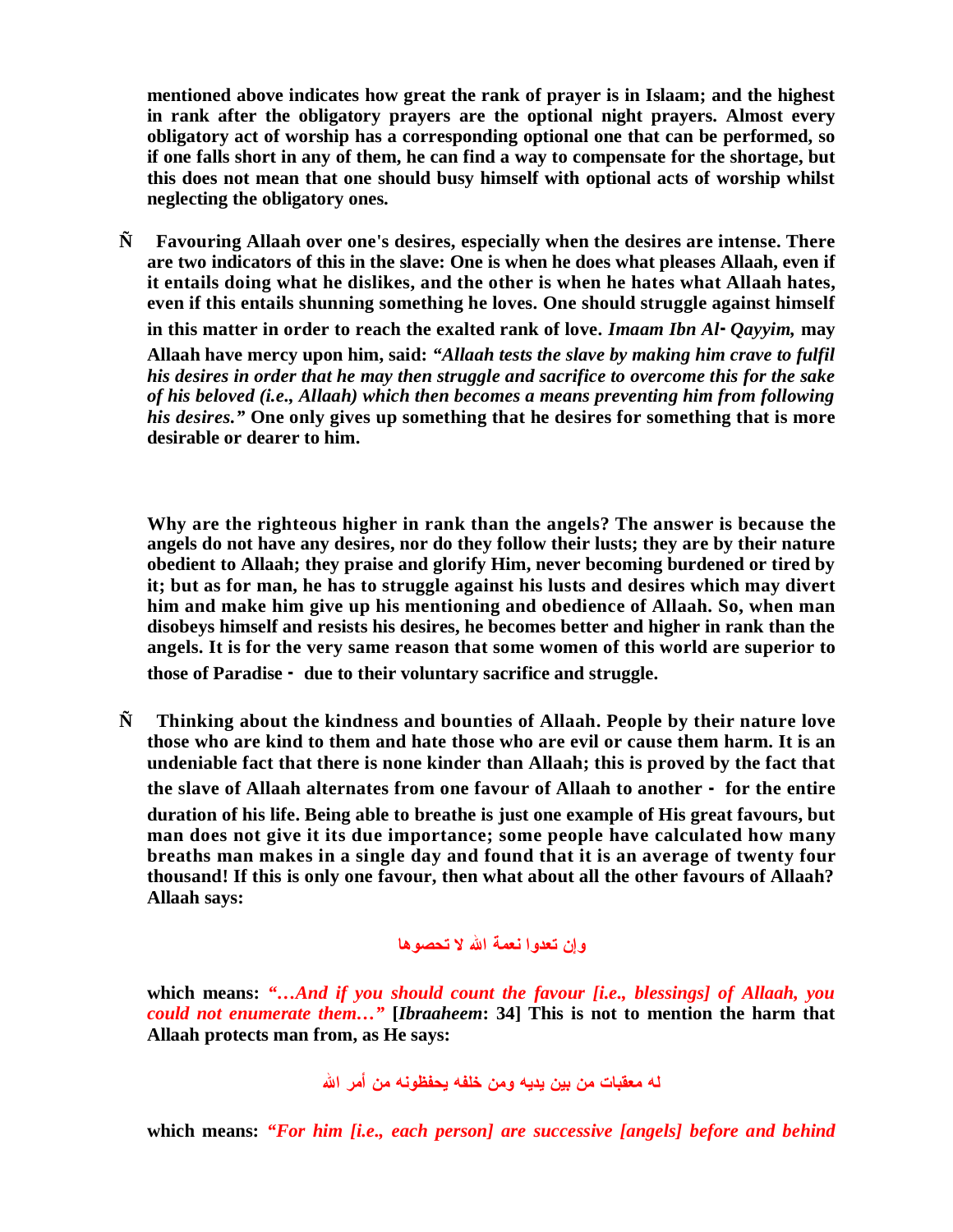**mentioned above indicates how great the rank of prayer is in Islaam; and the highest in rank after the obligatory prayers are the optional night prayers. Almost every obligatory act of worship has a corresponding optional one that can be performed, so if one falls short in any of them, he can find a way to compensate for the shortage, but this does not mean that one should busy himself with optional acts of worship whilst neglecting the obligatory ones.**

**Ñ Favouring Allaah over one's desires, especially when the desires are intense. There are two indicators of this in the slave: One is when he does what pleases Allaah, even if it entails doing what he dislikes, and the other is when he hates what Allaah hates, even if this entails shunning something he loves. One should struggle against himself** 

**in this matter in order to reach the exalted rank of love.** *Imaam Ibn Al-Qayyim,* **may Allaah have mercy upon him, said:** *"Allaah tests the slave by making him crave to fulfil his desires in order that he may then struggle and sacrifice to overcome this for the sake of his beloved (i.e., Allaah) which then becomes a means preventing him from following his desires."* **One only gives up something that he desires for something that is more desirable or dearer to him.** 

**Why are the righteous higher in rank than the angels? The answer is because the angels do not have any desires, nor do they follow their lusts; they are by their nature obedient to Allaah; they praise and glorify Him, never becoming burdened or tired by it; but as for man, he has to struggle against his lusts and desires which may divert him and make him give up his mentioning and obedience of Allaah. So, when man disobeys himself and resists his desires, he becomes better and higher in rank than the angels. It is for the very same reason that some women of this world are superior to those of Paradise - due to their voluntary sacrifice and struggle.**

**Ñ Thinking about the kindness and bounties of Allaah. People by their nature love those who are kind to them and hate those who are evil or cause them harm. It is an undeniable fact that there is none kinder than Allaah; this is proved by the fact that the slave of Allaah alternates from one favour of Allaah to another - for the entire duration of his life. Being able to breathe is just one example of His great favours, but man does not give it its due importance; some people have calculated how many breaths man makes in a single day and found that it is an average of twenty four thousand! If this is only one favour, then what about all the other favours of Allaah? Allaah says:**

## **وإن تعدوا نعمة االله لا تحصوها**

**which means:** *"…And if you should count the favour [i.e., blessings] of Allaah, you could not enumerate them…"* **[***Ibraaheem***: 34] This is not to mention the harm that Allaah protects man from, as He says:** 

**له معقبات من بين يديه ومن خلفه يحفظونه من أمر االله**

**which means:** *"For him [i.e., each person] are successive [angels] before and behind*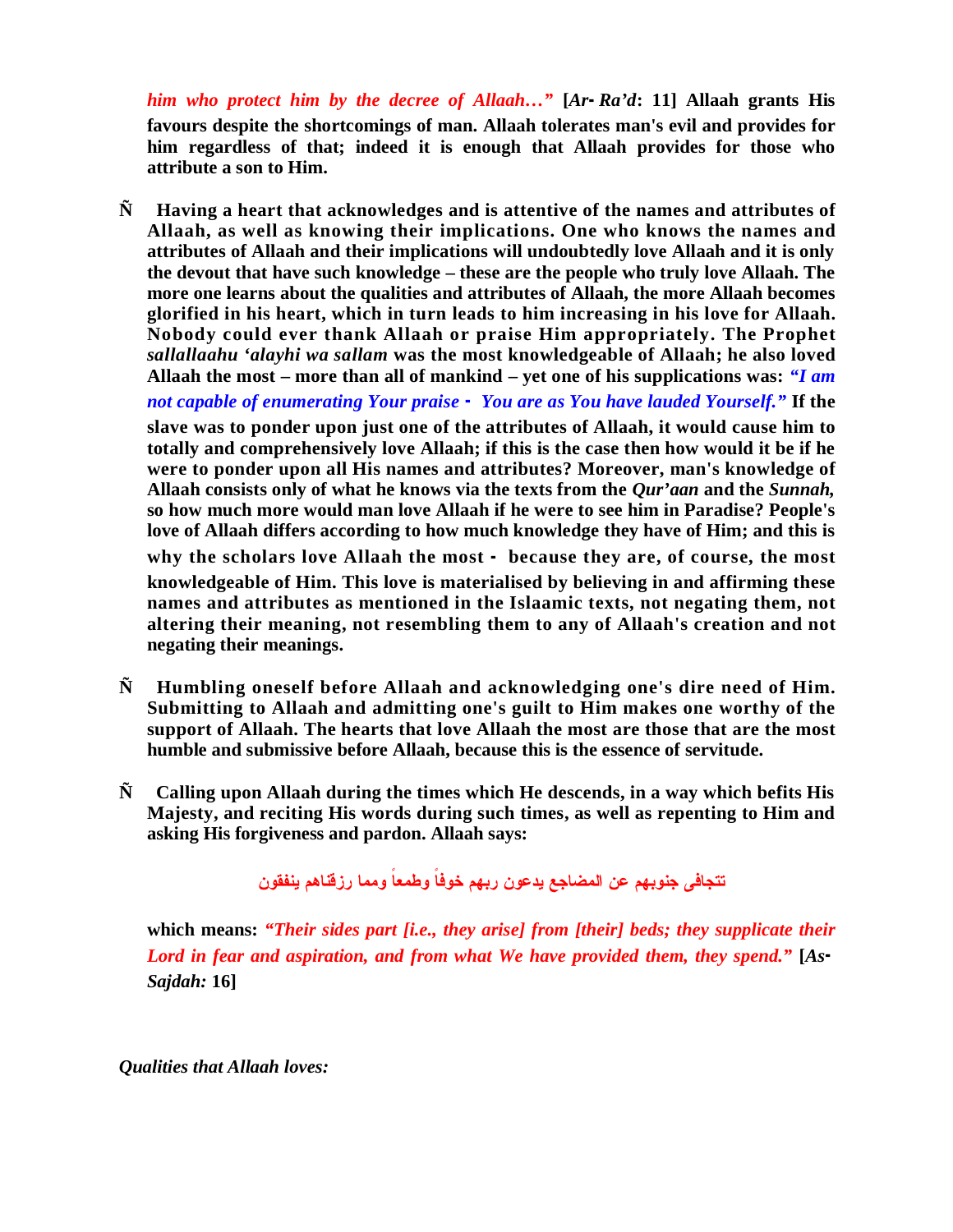*him who protect him by the decree of Allaah…"* **[***Ar-Ra'd***: 11] Allaah grants His favours despite the shortcomings of man. Allaah tolerates man's evil and provides for him regardless of that; indeed it is enough that Allaah provides for those who attribute a son to Him.**

**Ñ Having a heart that acknowledges and is attentive of the names and attributes of Allaah, as well as knowing their implications. One who knows the names and attributes of Allaah and their implications will undoubtedly love Allaah and it is only the devout that have such knowledge – these are the people who truly love Allaah. The more one learns about the qualities and attributes of Allaah, the more Allaah becomes glorified in his heart, which in turn leads to him increasing in his love for Allaah. Nobody could ever thank Allaah or praise Him appropriately. The Prophet**  *sallallaahu 'alayhi wa sallam* **was the most knowledgeable of Allaah; he also loved Allaah the most – more than all of mankind – yet one of his supplications was:** *"I am* 

*not capable of enumerating Your praise - You are as You have lauded Yourself."* **If the slave was to ponder upon just one of the attributes of Allaah, it would cause him to totally and comprehensively love Allaah; if this is the case then how would it be if he were to ponder upon all His names and attributes? Moreover, man's knowledge of Allaah consists only of what he knows via the texts from the** *Qur'aan* **and the** *Sunnah,*  **so how much more would man love Allaah if he were to see him in Paradise? People's love of Allaah differs according to how much knowledge they have of Him; and this is** 

**why the scholars love Allaah the most - because they are, of course, the most knowledgeable of Him. This love is materialised by believing in and affirming these names and attributes as mentioned in the Islaamic texts, not negating them, not altering their meaning, not resembling them to any of Allaah's creation and not negating their meanings.**

- **Ñ Humbling oneself before Allaah and acknowledging one's dire need of Him. Submitting to Allaah and admitting one's guilt to Him makes one worthy of the support of Allaah. The hearts that love Allaah the most are those that are the most humble and submissive before Allaah, because this is the essence of servitude.**
- **Ñ Calling upon Allaah during the times which He descends, in a way which befits His Majesty, and reciting His words during such times, as well as repenting to Him and asking His forgiveness and pardon. Allaah says:**

**تتجافى جنوبهم عن المضاجع يدعون ربهم خوفاً وطمعاً ومما رزقناهم ينفقون**

**which means:** *"Their sides part [i.e., they arise] from [their] beds; they supplicate their Lord in fear and aspiration, and from what We have provided them, they spend."* **[***As-Sajdah:* **16]**

*Qualities that Allaah loves:*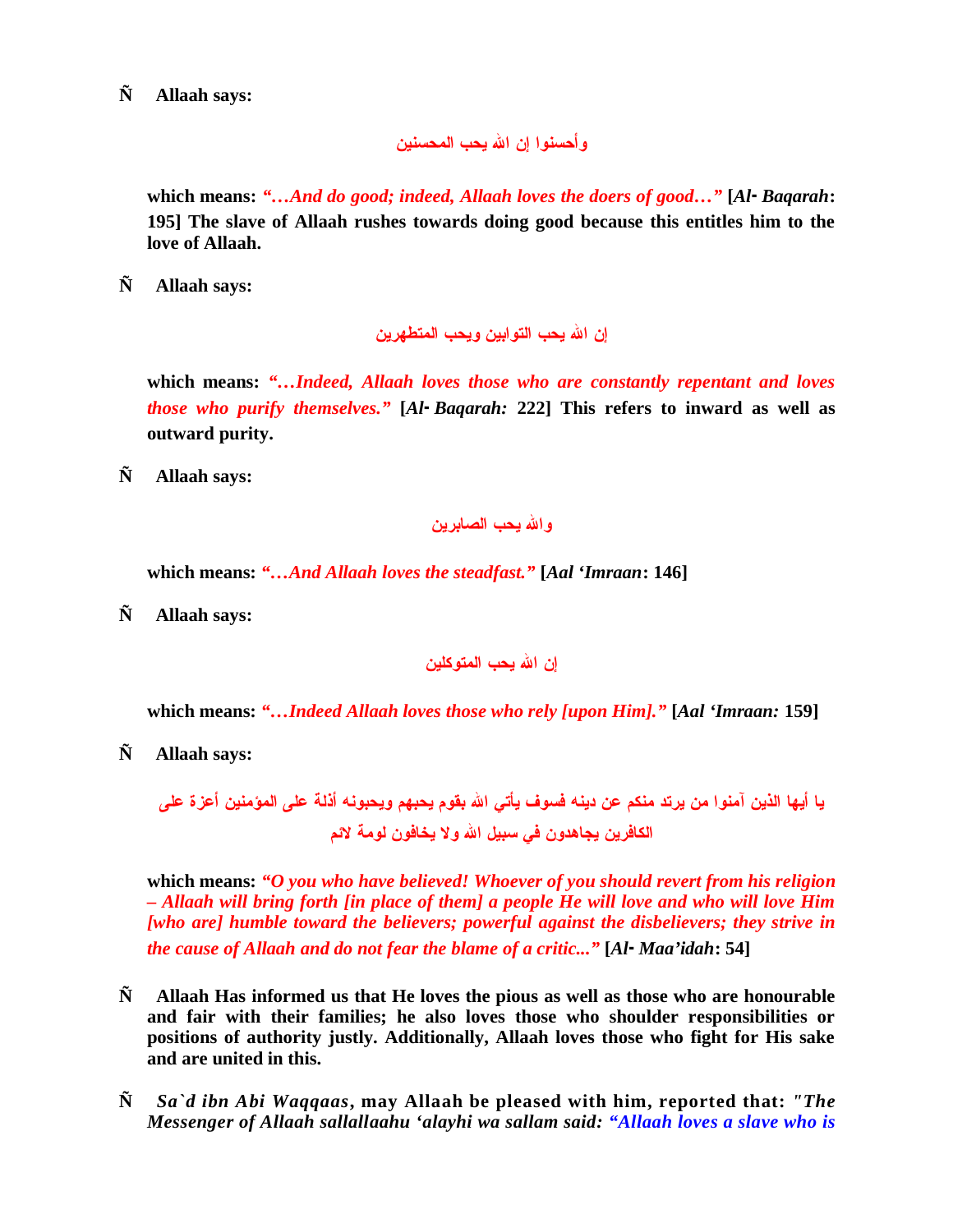**Ñ Allaah says:**

**وأحسنوا إن االله يحب المحسنين**

**which means:** *"…And do good; indeed, Allaah loves the doers of good…"* **[***Al-Baqarah***: 195] The slave of Allaah rushes towards doing good because this entitles him to the love of Allaah.**

**Ñ Allaah says:**

**إن االله يحب التوابين ويحب المتطهرين**

**which means:** *"…Indeed, Allaah loves those who are constantly repentant and loves those who purify themselves."* **[***Al-Baqarah:* **222] This refers to inward as well as outward purity.**

**Ñ Allaah says:**

**واالله يحب الصابرين**

**which means:** *"…And Allaah loves the steadfast."* **[***Aal 'Imraan***: 146]**

**Ñ Allaah says:**

**إن االله يحب المتوكلين**

**which means:** *"…Indeed Allaah loves those who rely [upon Him]."* **[***Aal 'Imraan:* **159]**

**Ñ Allaah says:**

**يا أيها الذين آمنوا من يرتد منكم عن دينه فسوف يأتي االله بقوم يحبهم ويحبونه أذلة على المؤمنين أعزة على الكافرين يجاهدون في سبيل االله ولا يخافون لومة لائم**

**which means:** *"O you who have believed! Whoever of you should revert from his religion – Allaah will bring forth [in place of them] a people He will love and who will love Him [who are] humble toward the believers; powerful against the disbelievers; they strive in the cause of Allaah and do not fear the blame of a critic..."* **[***Al-Maa'idah***: 54]**

- **Ñ Allaah Has informed us that He loves the pious as well as those who are honourable and fair with their families; he also loves those who shoulder responsibilities or positions of authority justly. Additionally, Allaah loves those who fight for His sake and are united in this.**
- **Ñ** *Sa`d ibn Abi Waqqaas***, may Allaah be pleased with him, reported that:** *"The Messenger of Allaah sallallaahu 'alayhi wa sallam said: "Allaah loves a slave who is*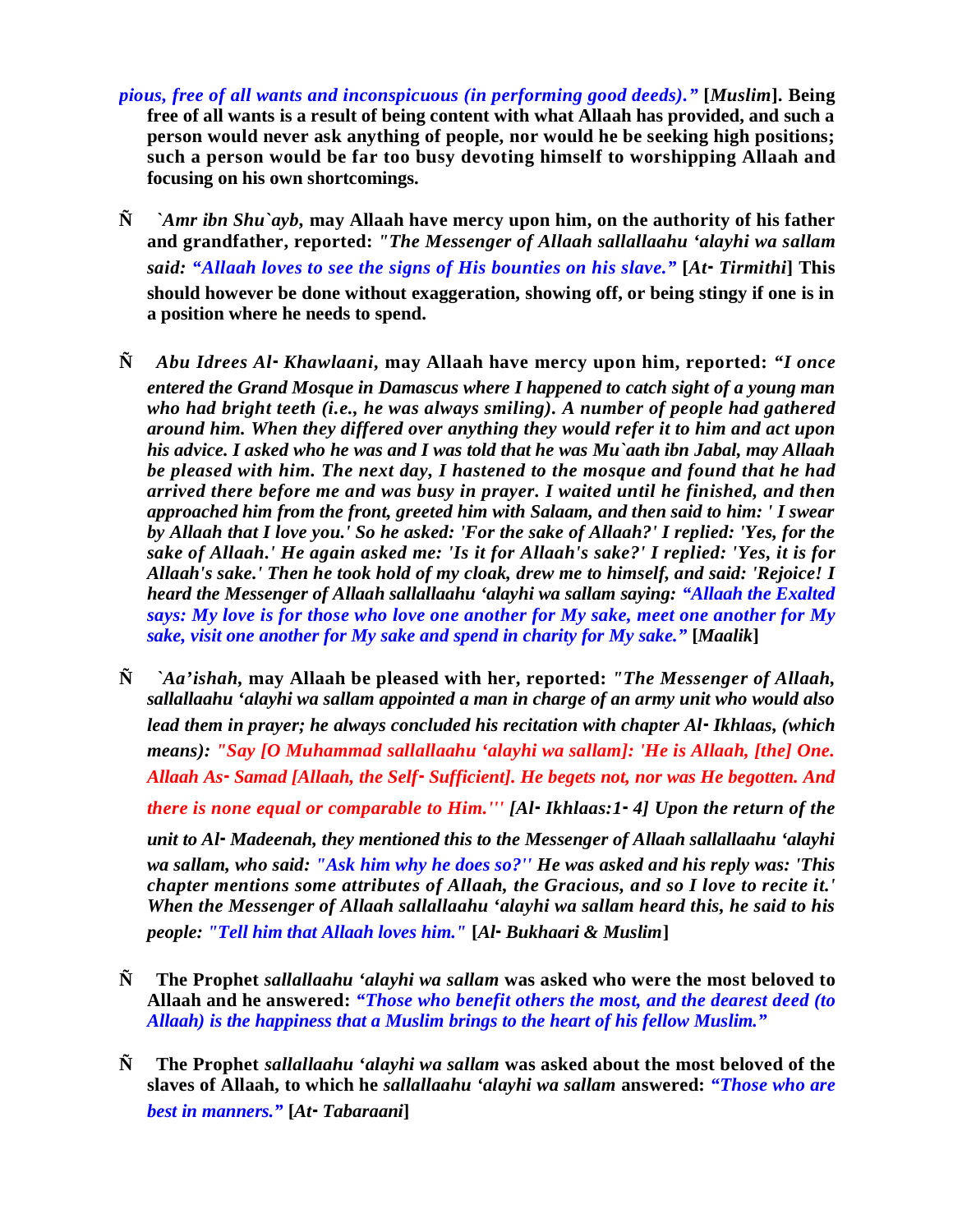- *pious, free of all wants and inconspicuous (in performing good deeds)."* **[***Muslim***]. Being free of all wants is a result of being content with what Allaah has provided, and such a person would never ask anything of people, nor would he be seeking high positions; such a person would be far too busy devoting himself to worshipping Allaah and focusing on his own shortcomings.**
- **Ñ** *`Amr ibn Shu`ayb,* **may Allaah have mercy upon him, on the authority of his father and grandfather, reported:** *"The Messenger of Allaah sallallaahu 'alayhi wa sallam said: "Allaah loves to see the signs of His bounties on his slave."* **[***At-Tirmithi***] This should however be done without exaggeration, showing off, or being stingy if one is in a position where he needs to spend.**
- **Ñ** *Abu Idrees Al-Khawlaani,* **may Allaah have mercy upon him, reported:** *"I once entered the Grand Mosque in Damascus where I happened to catch sight of a young man who had bright teeth (i.e., he was always smiling). A number of people had gathered around him. When they differed over anything they would refer it to him and act upon his advice. I asked who he was and I was told that he was Mu`aath ibn Jabal, may Allaah be pleased with him. The next day, I hastened to the mosque and found that he had arrived there before me and was busy in prayer. I waited until he finished, and then approached him from the front, greeted him with Salaam, and then said to him: ' I swear by Allaah that I love you.' So he asked: 'For the sake of Allaah?' I replied: 'Yes, for the sake of Allaah.' He again asked me: 'Is it for Allaah's sake?' I replied: 'Yes, it is for Allaah's sake.' Then he took hold of my cloak, drew me to himself, and said: 'Rejoice! I heard the Messenger of Allaah sallallaahu 'alayhi wa sallam saying: "Allaah the Exalted says: My love is for those who love one another for My sake, meet one another for My sake, visit one another for My sake and spend in charity for My sake."* **[***Maalik***]**
- **Ñ** *`Aa'ishah,* **may Allaah be pleased with her, reported:** *"The Messenger of Allaah, sallallaahu 'alayhi wa sallam appointed a man in charge of an army unit who would also lead them in prayer; he always concluded his recitation with chapter Al-Ikhlaas, (which means): "Say [O Muhammad sallallaahu 'alayhi wa sallam]: 'He is Allaah, [the] One. Allaah As-Samad [Allaah, the Self-Sufficient]. He begets not, nor was He begotten. And there is none equal or comparable to Him.''' [Al-Ikhlaas:1-4] Upon the return of the unit to Al-Madeenah, they mentioned this to the Messenger of Allaah sallallaahu 'alayhi wa sallam, who said: "Ask him why he does so?'' He was asked and his reply was: 'This chapter mentions some attributes of Allaah, the Gracious, and so I love to recite it.' When the Messenger of Allaah sallallaahu 'alayhi wa sallam heard this, he said to his people: "Tell him that Allaah loves him."* **[***Al-Bukhaari & Muslim***]**
- **Ñ The Prophet** *sallallaahu 'alayhi wa sallam* **was asked who were the most beloved to Allaah and he answered:** *"Those who benefit others the most, and the dearest deed (to Allaah) is the happiness that a Muslim brings to the heart of his fellow Muslim."*
- **Ñ The Prophet** *sallallaahu 'alayhi wa sallam* **was asked about the most beloved of the slaves of Allaah, to which he** *sallallaahu 'alayhi wa sallam* **answered:** *"Those who are best in manners."* **[***At-Tabaraani***]**